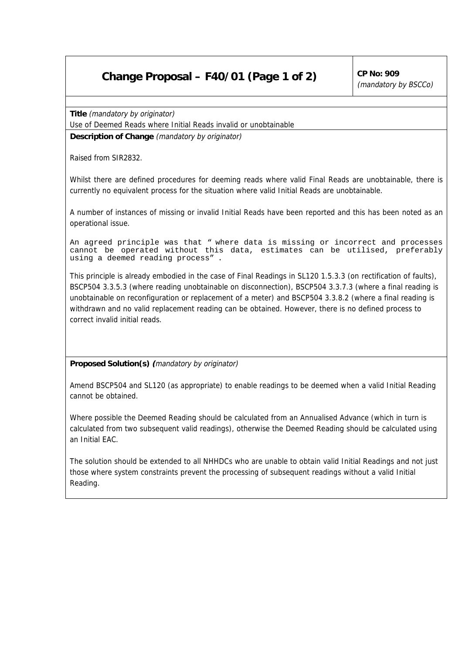## **Change Proposal – F40/01 (Page 1 of 2)**  $\vert$  CP No: 909

(mandatory by BSCCo)

**Title** (mandatory by originator)

Use of Deemed Reads where Initial Reads invalid or unobtainable

**Description of Change** (mandatory by originator)

Raised from SIR2832.

Whilst there are defined procedures for deeming reads where valid Final Reads are unobtainable, there is currently no equivalent process for the situation where valid Initial Reads are unobtainable.

A number of instances of missing or invalid Initial Reads have been reported and this has been noted as an operational issue.

An agreed principle was that " where data is missing or incorrect and processes cannot be operated without this data, estimates can be utilised, preferably using a deemed reading process" .

This principle is already embodied in the case of Final Readings in SL120 1.5.3.3 (on rectification of faults), BSCP504 3.3.5.3 (where reading unobtainable on disconnection), BSCP504 3.3.7.3 (where a final reading is unobtainable on reconfiguration or replacement of a meter) and BSCP504 3.3.8.2 (where a final reading is withdrawn and no valid replacement reading can be obtained. However, there is no defined process to correct invalid initial reads.

**Proposed Solution(s) (**mandatory by originator)

Amend BSCP504 and SL120 (as appropriate) to enable readings to be deemed when a valid Initial Reading cannot be obtained.

Where possible the Deemed Reading should be calculated from an Annualised Advance (which in turn is calculated from two subsequent valid readings), otherwise the Deemed Reading should be calculated using an Initial EAC.

The solution should be extended to all NHHDCs who are unable to obtain valid Initial Readings and not just those where system constraints prevent the processing of subsequent readings without a valid Initial Reading.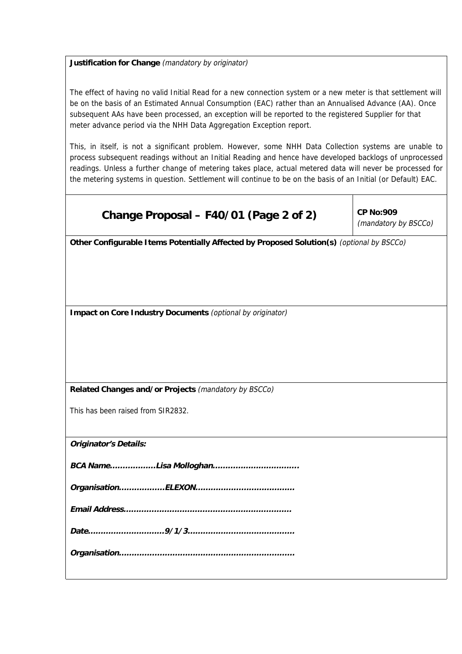## **Justification for Change** (mandatory by originator)

The effect of having no valid Initial Read for a new connection system or a new meter is that settlement will be on the basis of an Estimated Annual Consumption (EAC) rather than an Annualised Advance (AA). Once subsequent AAs have been processed, an exception will be reported to the registered Supplier for that meter advance period via the NHH Data Aggregation Exception report.

This, in itself, is not a significant problem. However, some NHH Data Collection systems are unable to process subsequent readings without an Initial Reading and hence have developed backlogs of unprocessed readings. Unless a further change of metering takes place, actual metered data will never be processed for the metering systems in question. Settlement will continue to be on the basis of an Initial (or Default) EAC.

## **Change Proposal – F40/01 (Page 2 of 2)**  $\vert$  CP No:909

(mandatory by BSCCo)

**Other Configurable Items Potentially Affected by Proposed Solution(s)** (optional by BSCCo)

**Impact on Core Industry Documents** (optional by originator)

**Related Changes and/or Projects** (mandatory by BSCCo)

This has been raised from SIR2832.

**Originator's Details:**